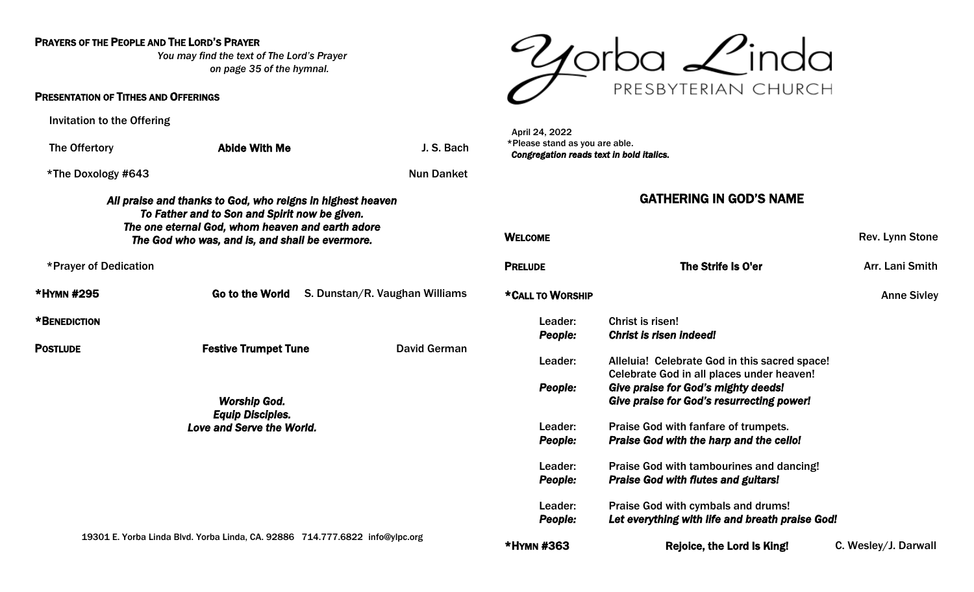### PRAYERS OF THE PEOPLE AND THE LORD'S PRAYER

*You may find the text of The Lord's Prayer on page 35 of the hymnal.* 

#### PRESENTATION OF TITHES AND OFFERINGS

Invitation to the Offering

The Offertory **Abide With Me** J. S. Bach

\*The Doxology #643 Nun Danket

#### *All praise and thanks to God, who reigns in highest heaven To Father and to Son and Spirit now be given. The one eternal God, whom heaven and earth adore The God who was, and is, and shall be evermore.*

\*Prayer of Dedication

| *HYMN #295   | <b>Go to the World</b> | S. Dunstan/R. Vaughan Williams |
|--------------|------------------------|--------------------------------|
| *BENEDICTION |                        |                                |

POSTLUDE **Festive Trumpet Tune** David German

*Worship God. Equip Disciples. Love and Serve the World.* 

19301 E. Yorba Linda Blvd. Yorba Linda, CA. 92886 714.777.6822 [info@ylpc.org](mailto:info@ylpc.org)



 April 24, 2022 \*Please stand as you are able. *Congregation reads text in bold italics.* 

### GATHERING IN GOD'S NAME

| WELCOME            |                                                                                                | Rev. Lynn Stone      |
|--------------------|------------------------------------------------------------------------------------------------|----------------------|
| <b>PRELUDE</b>     | The Strife Is O'er                                                                             | Arr. Lani Smith      |
| *CALL TO WORSHIP   |                                                                                                | <b>Anne Sivley</b>   |
| Leader:<br>People: | Christ is risen!<br><b>Christ is risen indeed!</b>                                             |                      |
| Leader:            | Alleluia! Celebrate God in this sacred space!<br>Celebrate God in all places under heaven!     |                      |
| People:            | <b>Give praise for God's mighty deeds!</b><br><b>Give praise for God's resurrecting power!</b> |                      |
| Leader:            | Praise God with fanfare of trumpets.                                                           |                      |
| <b>People:</b>     | <b>Praise God with the harp and the cello!</b>                                                 |                      |
| Leader:            | Praise God with tambourines and dancing!                                                       |                      |
| People:            | <b>Praise God with flutes and guitars!</b>                                                     |                      |
| Leader:            | Praise God with cymbals and drums!                                                             |                      |
| <b>People:</b>     | Let everything with life and breath praise God!                                                |                      |
| *HYMN #363         | Rejoice, the Lord Is King!                                                                     | C. Wesley/J. Darwall |